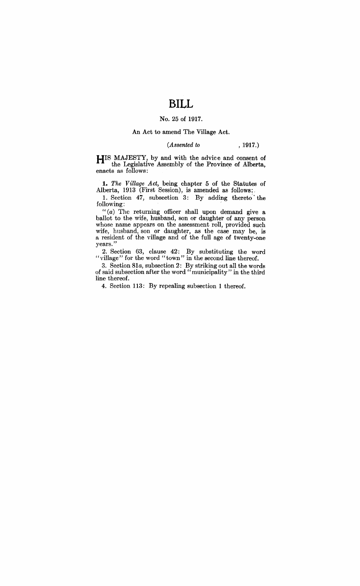# **BILL**

## No. 25 of 1917.

#### An Act to amend The Village Act.

## *(Assented to* , 1917.)

**HIS** MAJESTY, by and with the advice and consent of the Legislative Assembly of the Province of Alberta, enacts as follows: .

**1.** The Village Act, being chapter 5 of the Statutes of Alberta, 1913 (First Session), is amended as follows:,

1. Section 47, subsection 3: By' adding thereto" the following:

*"(a)* The returning officer shall upon demand give a ballot to the wife, husband, son or daughter of any person whose name appears on the assessment roll, provided such wife, husband, son or daughter, as the case may be, is a resident of the village and of the full age of twenty-one years."

2. Section 63, clause 42: By substituting the word "village" for the word "town" in the second line thereof.

3. Section *81a,* subsection 2: By striking out all the words of said subsection after the word "municipality" in the third line thereof.

4. Section 113: By repealing subsection 1 thereof.